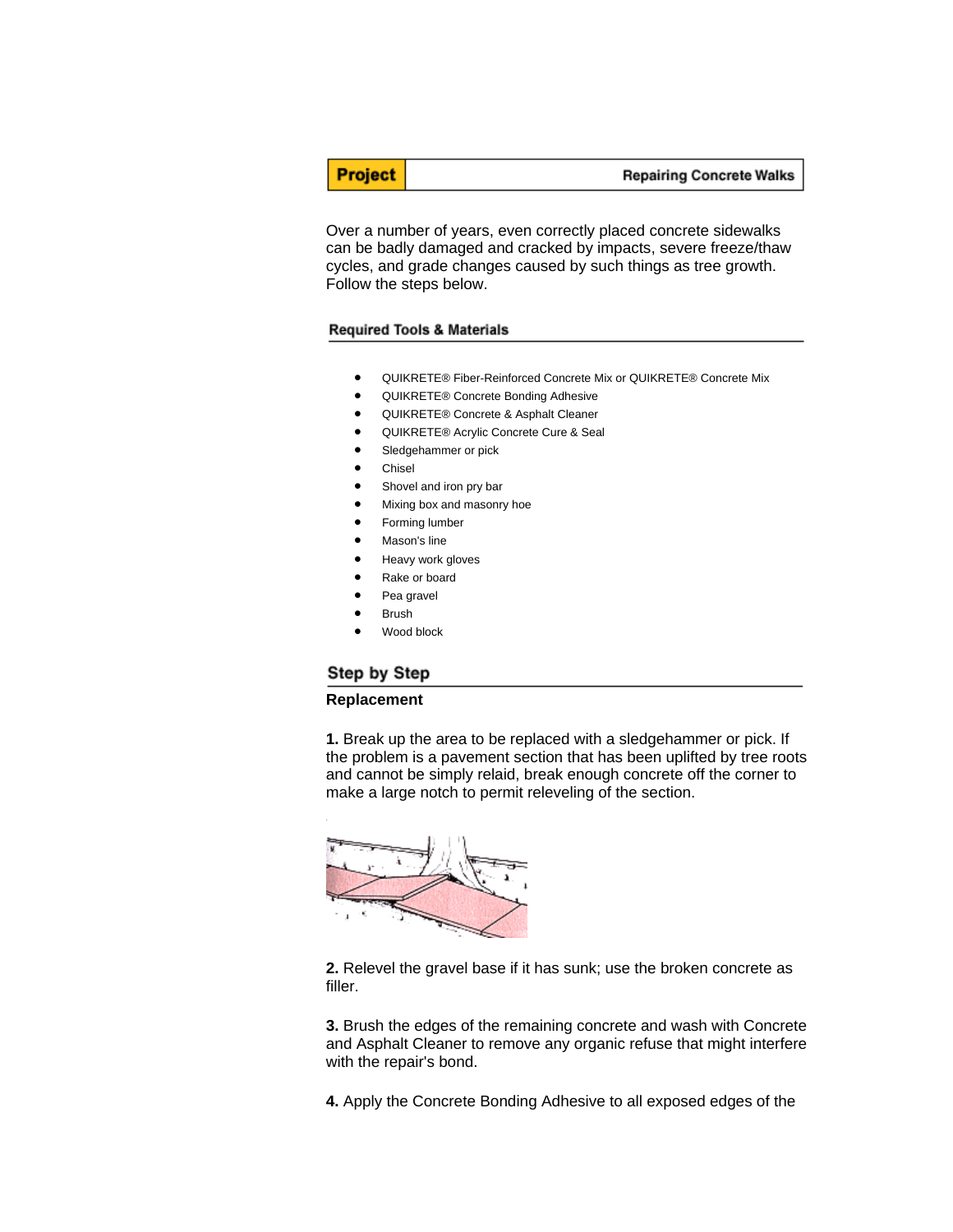Over a number of years, even correctly placed concrete sidewalks can be badly damaged and cracked by impacts, severe freeze/thaw cycles, and grade changes caused by such things as tree growth. Follow the steps below.

### **Required Tools & Materials**

- QUIKRETE® Fiber-Reinforced Concrete Mix or QUIKRETE® Concrete Mix
- QUIKRETE® Concrete Bonding Adhesive
- QUIKRETE® Concrete & Asphalt Cleaner
- QUIKRETE® Acrylic Concrete Cure & Seal
- Sledgehammer or pick
- **Chisel**

**Project** 

- Shovel and iron pry bar
- Mixing box and masonry hoe
- Forming lumber
- Mason's line
- Heavy work gloves
- Rake or board
- Pea gravel
- Brush
- Wood block

## Step by Step

#### **Replacement**

**1.** Break up the area to be replaced with a sledgehammer or pick. If the problem is a pavement section that has been uplifted by tree roots and cannot be simply relaid, break enough concrete off the corner to make a large notch to permit releveling of the section.



**2.** Relevel the gravel base if it has sunk; use the broken concrete as filler.

**3.** Brush the edges of the remaining concrete and wash with Concrete and Asphalt Cleaner to remove any organic refuse that might interfere with the repair's bond.

**4.** Apply the Concrete Bonding Adhesive to all exposed edges of the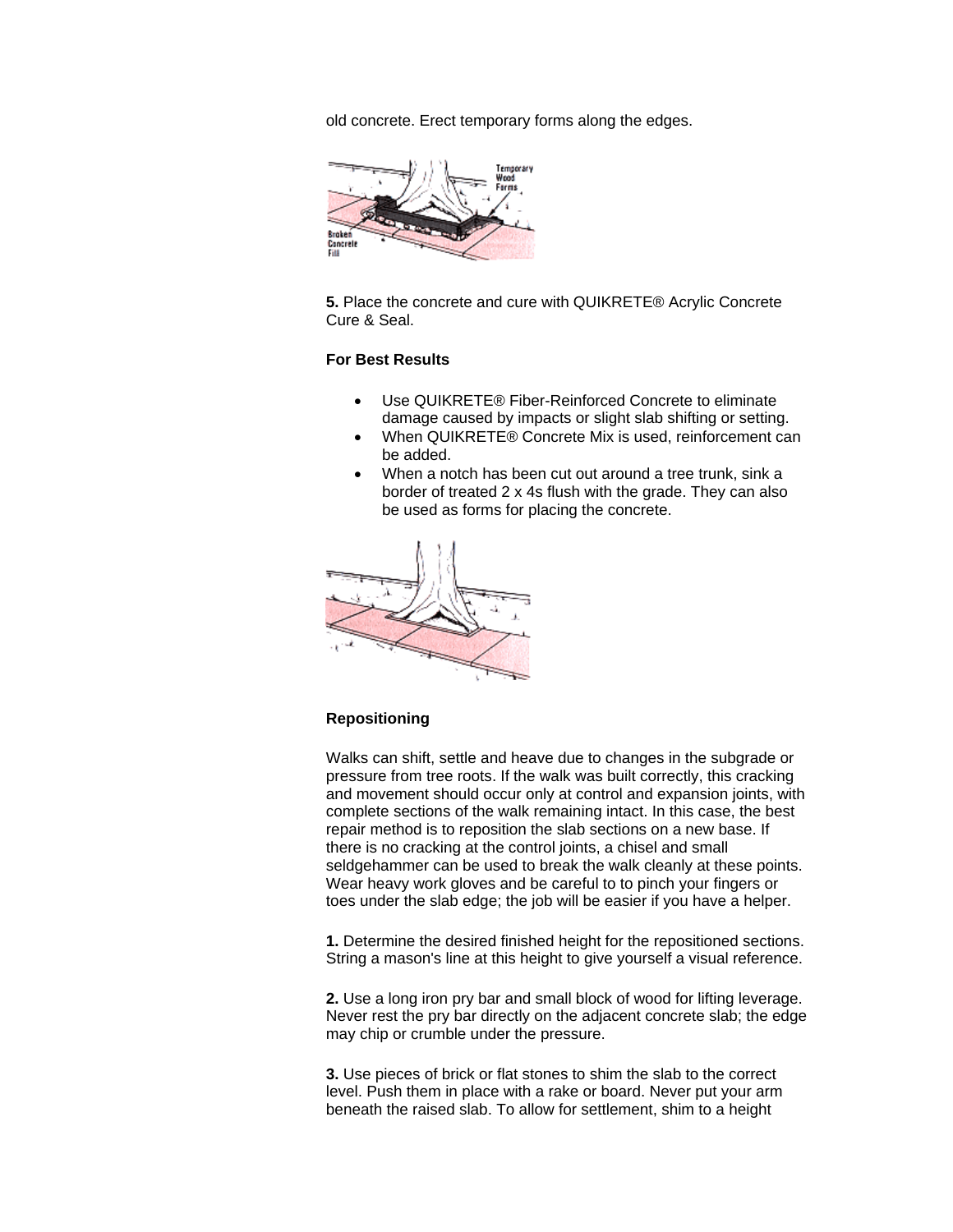old concrete. Erect temporary forms along the edges.



**5.** Place the concrete and cure with QUIKRETE® Acrylic Concrete Cure & Seal.

# **For Best Results**

- Use QUIKRETE® Fiber-Reinforced Concrete to eliminate damage caused by impacts or slight slab shifting or setting.
- When QUIKRETE® Concrete Mix is used, reinforcement can be added.
- When a notch has been cut out around a tree trunk, sink a border of treated 2 x 4s flush with the grade. They can also be used as forms for placing the concrete.



## **Repositioning**

Walks can shift, settle and heave due to changes in the subgrade or pressure from tree roots. If the walk was built correctly, this cracking and movement should occur only at control and expansion joints, with complete sections of the walk remaining intact. In this case, the best repair method is to reposition the slab sections on a new base. If there is no cracking at the control joints, a chisel and small seldgehammer can be used to break the walk cleanly at these points. Wear heavy work gloves and be careful to to pinch your fingers or toes under the slab edge; the job will be easier if you have a helper.

**1.** Determine the desired finished height for the repositioned sections. String a mason's line at this height to give yourself a visual reference.

**2.** Use a long iron pry bar and small block of wood for lifting leverage. Never rest the pry bar directly on the adjacent concrete slab; the edge may chip or crumble under the pressure.

**3.** Use pieces of brick or flat stones to shim the slab to the correct level. Push them in place with a rake or board. Never put your arm beneath the raised slab. To allow for settlement, shim to a height